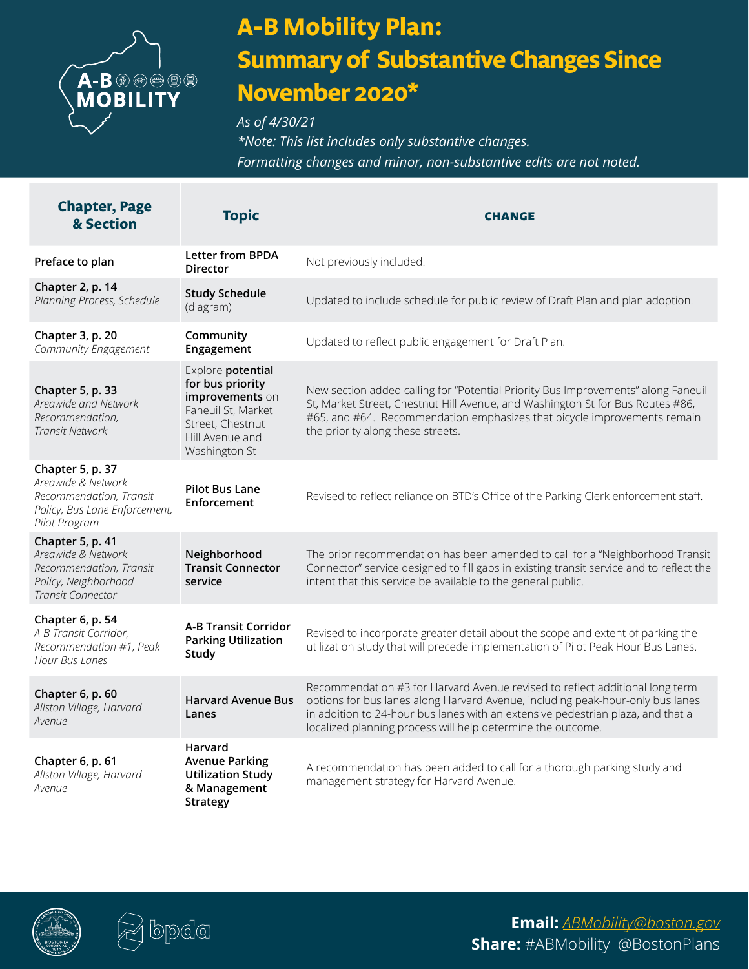

## **A-B Mobility Plan: Summary of Substantive Changes Since November 2020\***

*As of 4/30/21* 

*\*Note: This list includes only substantive changes. Formatting changes and minor, non-substantive edits are not noted.*

| <b>Chapter, Page</b><br>& Section                                                                                   | <b>Topic</b>                                                                                                                           | <b>CHANGE</b>                                                                                                                                                                                                                                                                                                    |
|---------------------------------------------------------------------------------------------------------------------|----------------------------------------------------------------------------------------------------------------------------------------|------------------------------------------------------------------------------------------------------------------------------------------------------------------------------------------------------------------------------------------------------------------------------------------------------------------|
| Preface to plan                                                                                                     | <b>Letter from BPDA</b><br><b>Director</b>                                                                                             | Not previously included.                                                                                                                                                                                                                                                                                         |
| Chapter 2, p. 14<br>Planning Process, Schedule                                                                      | <b>Study Schedule</b><br>(diagram)                                                                                                     | Updated to include schedule for public review of Draft Plan and plan adoption.                                                                                                                                                                                                                                   |
| Chapter 3, p. 20<br>Community Engagement                                                                            | Community<br>Engagement                                                                                                                | Updated to reflect public engagement for Draft Plan.                                                                                                                                                                                                                                                             |
| Chapter 5, p. 33<br>Areawide and Network<br>Recommendation,<br>Transit Network                                      | Explore potential<br>for bus priority<br>improvements on<br>Faneuil St, Market<br>Street, Chestnut<br>Hill Avenue and<br>Washington St | New section added calling for "Potential Priority Bus Improvements" along Faneuil<br>St, Market Street, Chestnut Hill Avenue, and Washington St for Bus Routes #86,<br>#65, and #64. Recommendation emphasizes that bicycle improvements remain<br>the priority along these streets.                             |
| Chapter 5, p. 37<br>Areawide & Network<br>Recommendation, Transit<br>Policy, Bus Lane Enforcement,<br>Pilot Program | <b>Pilot Bus Lane</b><br>Enforcement                                                                                                   | Revised to reflect reliance on BTD's Office of the Parking Clerk enforcement staff.                                                                                                                                                                                                                              |
| Chapter 5, p. 41<br>Areawide & Network<br>Recommendation, Transit<br>Policy, Neighborhood<br>Transit Connector      | Neighborhood<br><b>Transit Connector</b><br>service                                                                                    | The prior recommendation has been amended to call for a "Neighborhood Transit<br>Connector" service designed to fill gaps in existing transit service and to reflect the<br>intent that this service be available to the general public.                                                                         |
| Chapter 6, p. 54<br>A-B Transit Corridor,<br>Recommendation #1, Peak<br>Hour Bus Lanes                              | <b>A-B Transit Corridor</b><br><b>Parking Utilization</b><br>Study                                                                     | Revised to incorporate greater detail about the scope and extent of parking the<br>utilization study that will precede implementation of Pilot Peak Hour Bus Lanes.                                                                                                                                              |
| Chapter 6, p. 60<br>Allston Village, Harvard<br>Avenue                                                              | <b>Harvard Avenue Bus</b><br>Lanes                                                                                                     | Recommendation #3 for Harvard Avenue revised to reflect additional long term<br>options for bus lanes along Harvard Avenue, including peak-hour-only bus lanes<br>in addition to 24-hour bus lanes with an extensive pedestrian plaza, and that a<br>localized planning process will help determine the outcome. |
| Chapter 6, p. 61<br>Allston Village, Harvard<br>Avenue                                                              | Harvard<br><b>Avenue Parking</b><br><b>Utilization Study</b><br>& Management<br><b>Strategy</b>                                        | A recommendation has been added to call for a thorough parking study and<br>management strategy for Harvard Avenue.                                                                                                                                                                                              |





**Email:** *[ABMobility@boston.gov](mailto:ABMobility%40boston.gov%0A?subject=)* **Share:** #ABMobility @BostonPlans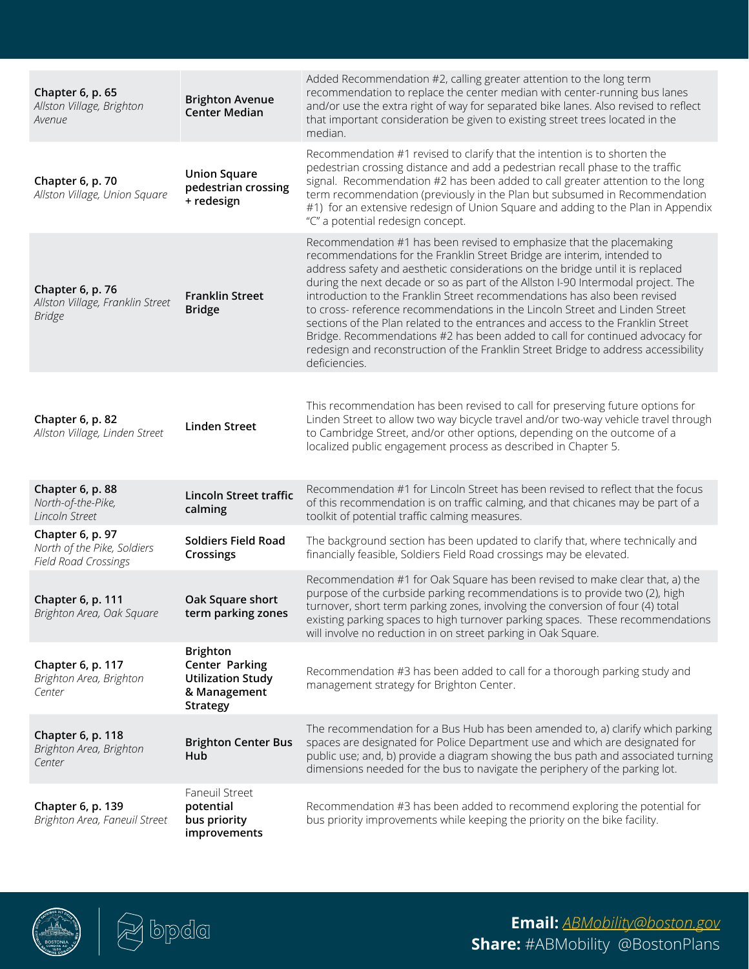| Chapter 6, p. 65<br>Allston Village, Brighton<br>Avenue                 | <b>Brighton Avenue</b><br><b>Center Median</b>                                                   | Added Recommendation #2, calling greater attention to the long term<br>recommendation to replace the center median with center-running bus lanes<br>and/or use the extra right of way for separated bike lanes. Also revised to reflect<br>that important consideration be given to existing street trees located in the<br>median                                                                                                                                                                                                                                                                                                                                                                                                                          |
|-------------------------------------------------------------------------|--------------------------------------------------------------------------------------------------|-------------------------------------------------------------------------------------------------------------------------------------------------------------------------------------------------------------------------------------------------------------------------------------------------------------------------------------------------------------------------------------------------------------------------------------------------------------------------------------------------------------------------------------------------------------------------------------------------------------------------------------------------------------------------------------------------------------------------------------------------------------|
| Chapter 6, p. 70<br>Allston Village, Union Square                       | <b>Union Square</b><br>pedestrian crossing<br>+ redesign                                         | Recommendation #1 revised to clarify that the intention is to shorten the<br>pedestrian crossing distance and add a pedestrian recall phase to the traffic<br>signal. Recommendation #2 has been added to call greater attention to the long<br>term recommendation (previously in the Plan but subsumed in Recommendation<br>#1) for an extensive redesign of Union Square and adding to the Plan in Appendix<br>"C" a potential redesign concept.                                                                                                                                                                                                                                                                                                         |
| Chapter 6, p. 76<br>Allston Village, Franklin Street<br><b>Bridge</b>   | <b>Franklin Street</b><br><b>Bridge</b>                                                          | Recommendation #1 has been revised to emphasize that the placemaking<br>recommendations for the Franklin Street Bridge are interim, intended to<br>address safety and aesthetic considerations on the bridge until it is replaced<br>during the next decade or so as part of the Allston I-90 Intermodal project. The<br>introduction to the Franklin Street recommendations has also been revised<br>to cross- reference recommendations in the Lincoln Street and Linden Street<br>sections of the Plan related to the entrances and access to the Franklin Street<br>Bridge. Recommendations #2 has been added to call for continued advocacy for<br>redesign and reconstruction of the Franklin Street Bridge to address accessibility<br>deficiencies. |
| Chapter 6, p. 82<br>Allston Village, Linden Street                      | <b>Linden Street</b>                                                                             | This recommendation has been revised to call for preserving future options for<br>Linden Street to allow two way bicycle travel and/or two-way vehicle travel through<br>to Cambridge Street, and/or other options, depending on the outcome of a<br>localized public engagement process as described in Chapter 5.                                                                                                                                                                                                                                                                                                                                                                                                                                         |
| Chapter 6, p. 88<br>North-of-the-Pike,<br>Lincoln Street                | <b>Lincoln Street traffic</b><br>calming                                                         | Recommendation #1 for Lincoln Street has been revised to reflect that the focus<br>of this recommendation is on traffic calming, and that chicanes may be part of a<br>toolkit of potential traffic calming measures.                                                                                                                                                                                                                                                                                                                                                                                                                                                                                                                                       |
| Chapter 6, p. 97<br>North of the Pike, Soldiers<br>Field Road Crossings | <b>Soldiers Field Road</b><br>Crossings                                                          | The background section has been updated to clarify that, where technically and<br>financially feasible, Soldiers Field Road crossings may be elevated.                                                                                                                                                                                                                                                                                                                                                                                                                                                                                                                                                                                                      |
| Chapter 6, p. 111<br>Brighton Area, Oak Square                          | Oak Square short<br>term parking zones                                                           | Recommendation #1 for Oak Square has been revised to make clear that, a) the<br>purpose of the curbside parking recommendations is to provide two (2), high<br>turnover, short term parking zones, involving the conversion of four (4) total<br>existing parking spaces to high turnover parking spaces. These recommendations<br>will involve no reduction in on street parking in Oak Square.                                                                                                                                                                                                                                                                                                                                                            |
| Chapter 6, p. 117<br>Brighton Area, Brighton<br>Center                  | <b>Brighton</b><br>Center Parking<br><b>Utilization Study</b><br>& Management<br><b>Strategy</b> | Recommendation #3 has been added to call for a thorough parking study and<br>management strategy for Brighton Center.                                                                                                                                                                                                                                                                                                                                                                                                                                                                                                                                                                                                                                       |
| Chapter 6, p. 118<br>Brighton Area, Brighton<br>Center                  | <b>Brighton Center Bus</b><br>Hub                                                                | The recommendation for a Bus Hub has been amended to, a) clarify which parking<br>spaces are designated for Police Department use and which are designated for<br>public use; and, b) provide a diagram showing the bus path and associated turning<br>dimensions needed for the bus to navigate the periphery of the parking lot.                                                                                                                                                                                                                                                                                                                                                                                                                          |
| Chapter 6, p. 139<br>Brighton Area, Faneuil Street                      | Faneuil Street<br>potential<br>bus priority<br>improvements                                      | Recommendation #3 has been added to recommend exploring the potential for<br>bus priority improvements while keeping the priority on the bike facility.                                                                                                                                                                                                                                                                                                                                                                                                                                                                                                                                                                                                     |





**Email:** *[ABMobility@boston.gov](mailto:ABMobility%40boston.gov%0A?subject=)* **Share:** #ABMobility @BostonPlans